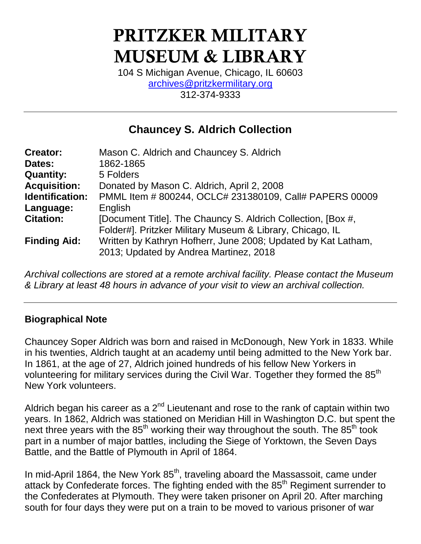# **PRITZKER MILITARY MUSEUM & LIBRARY**

104 S Michigan Avenue, Chicago, IL 60603 [archives@pritzkermilitary.org](mailto:archives@pritzkermilitary.org) 312-374-9333

# **Chauncey S. Aldrich Collection**

| <b>Creator:</b>        | Mason C. Aldrich and Chauncey S. Aldrich                                                                                  |
|------------------------|---------------------------------------------------------------------------------------------------------------------------|
| Dates:                 | 1862-1865                                                                                                                 |
| <b>Quantity:</b>       | 5 Folders                                                                                                                 |
| <b>Acquisition:</b>    | Donated by Mason C. Aldrich, April 2, 2008                                                                                |
| <b>Identification:</b> | PMML Item # 800244, OCLC# 231380109, Call# PAPERS 00009                                                                   |
| Language:              | English                                                                                                                   |
| <b>Citation:</b>       | [Document Title]. The Chauncy S. Aldrich Collection, [Box #,<br>Folder#]. Pritzker Military Museum & Library, Chicago, IL |
| <b>Finding Aid:</b>    | Written by Kathryn Hofherr, June 2008; Updated by Kat Latham,<br>2013; Updated by Andrea Martinez, 2018                   |

*Archival collections are stored at a remote archival facility. Please contact the Museum & Library at least 48 hours in advance of your visit to view an archival collection.*

# **Biographical Note**

Chauncey Soper Aldrich was born and raised in McDonough, New York in 1833. While in his twenties, Aldrich taught at an academy until being admitted to the New York bar. In 1861, at the age of 27, Aldrich joined hundreds of his fellow New Yorkers in volunteering for military services during the Civil War. Together they formed the 85<sup>th</sup> New York volunteers.

Aldrich began his career as a  $2^{nd}$  Lieutenant and rose to the rank of captain within two years. In 1862, Aldrich was stationed on Meridian Hill in Washington D.C. but spent the next three years with the  $85<sup>th</sup>$  working their way throughout the south. The  $85<sup>th</sup>$  took part in a number of major battles, including the Siege of Yorktown, the Seven Days Battle, and the Battle of Plymouth in April of 1864.

In mid-April 1864, the New York 85<sup>th</sup>, traveling aboard the Massassoit, came under attack by Confederate forces. The fighting ended with the 85<sup>th</sup> Regiment surrender to the Confederates at Plymouth. They were taken prisoner on April 20. After marching south for four days they were put on a train to be moved to various prisoner of war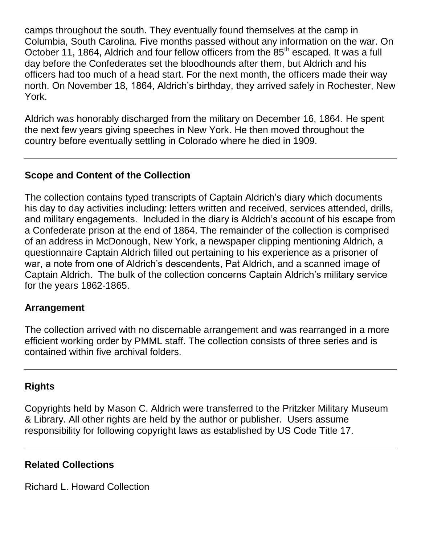camps throughout the south. They eventually found themselves at the camp in Columbia, South Carolina. Five months passed without any information on the war. On October 11, 1864, Aldrich and four fellow officers from the 85<sup>th</sup> escaped. It was a full day before the Confederates set the bloodhounds after them, but Aldrich and his officers had too much of a head start. For the next month, the officers made their way north. On November 18, 1864, Aldrich's birthday, they arrived safely in Rochester, New York.

Aldrich was honorably discharged from the military on December 16, 1864. He spent the next few years giving speeches in New York. He then moved throughout the country before eventually settling in Colorado where he died in 1909.

# **Scope and Content of the Collection**

The collection contains typed transcripts of Captain Aldrich's diary which documents his day to day activities including: letters written and received, services attended, drills, and military engagements. Included in the diary is Aldrich's account of his escape from a Confederate prison at the end of 1864. The remainder of the collection is comprised of an address in McDonough, New York, a newspaper clipping mentioning Aldrich, a questionnaire Captain Aldrich filled out pertaining to his experience as a prisoner of war, a note from one of Aldrich's descendents, Pat Aldrich, and a scanned image of Captain Aldrich. The bulk of the collection concerns Captain Aldrich's military service for the years 1862-1865.

#### **Arrangement**

The collection arrived with no discernable arrangement and was rearranged in a more efficient working order by PMML staff. The collection consists of three series and is contained within five archival folders.

### **Rights**

Copyrights held by Mason C. Aldrich were transferred to the Pritzker Military Museum & Library. All other rights are held by the author or publisher. Users assume responsibility for following copyright laws as established by US Code Title 17.

#### **Related Collections**

Richard L. Howard Collection